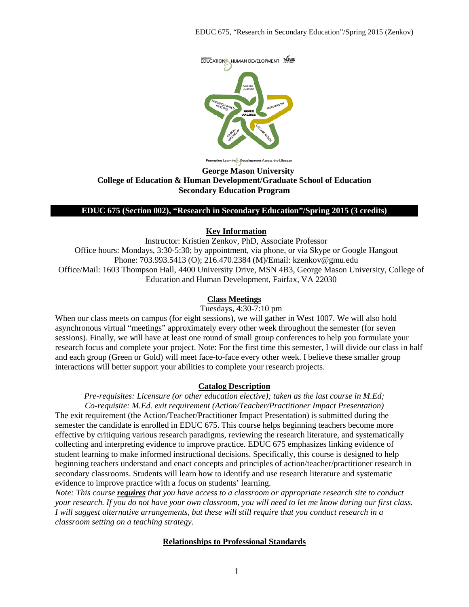

ting Learning Development Across the Lifespan

#### **George Mason University College of Education & Human Development/Graduate School of Education Secondary Education Program**

#### **EDUC 675 (Section 002), "Research in Secondary Education"/Spring 2015 (3 credits)**

### **Key Information**

Instructor: Kristien Zenkov, PhD, Associate Professor Office hours: Mondays, 3:30-5:30; by appointment, via phone, or via Skype or Google Hangout Phone: 703.993.5413 (O); 216.470.2384 (M)/Email: kzenkov@gmu.edu Office/Mail: 1603 Thompson Hall, 4400 University Drive, MSN 4B3, George Mason University, College of Education and Human Development, Fairfax, VA 22030

# **Class Meetings**

Tuesdays, 4:30-7:10 pm

When our class meets on campus (for eight sessions), we will gather in West 1007. We will also hold asynchronous virtual "meetings" approximately every other week throughout the semester (for seven sessions). Finally, we will have at least one round of small group conferences to help you formulate your research focus and complete your project. Note: For the first time this semester, I will divide our class in half and each group (Green or Gold) will meet face-to-face every other week. I believe these smaller group interactions will better support your abilities to complete your research projects.

### **Catalog Description**

*Pre-requisites: Licensure (or other education elective); taken as the last course in M.Ed; Co-requisite: M.Ed. exit requirement (Action/Teacher/Practitioner Impact Presentation)* The exit requirement (the Action/Teacher/Practitioner Impact Presentation) is submitted during the semester the candidate is enrolled in EDUC 675. This course helps beginning teachers become more effective by critiquing various research paradigms, reviewing the research literature, and systematically collecting and interpreting evidence to improve practice. EDUC 675 emphasizes linking evidence of student learning to make informed instructional decisions. Specifically, this course is designed to help beginning teachers understand and enact concepts and principles of action/teacher/practitioner research in secondary classrooms. Students will learn how to identify and use research literature and systematic evidence to improve practice with a focus on students' learning.

*Note: This course requires that you have access to a classroom or appropriate research site to conduct your research. If you do not have your own classroom, you will need to let me know during our first class. I will suggest alternative arrangements, but these will still require that you conduct research in a classroom setting on a teaching strategy.*

### **Relationships to Professional Standards**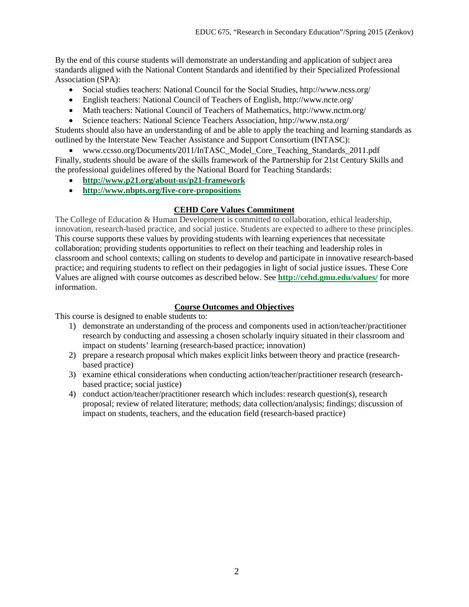By the end of this course students will demonstrate an understanding and application of subject area standards aligned with the National Content Standards and identified by their Specialized Professional Association (SPA):

- Social studies teachers: National Council for the Social Studies, http://www.ncss.org/
- English teachers: National Council of Teachers of English, http://www.ncte.org/
- Math teachers: National Council of Teachers of Mathematics, http://www.nctm.org/
- Science teachers: National Science Teachers Association, http://www.nsta.org/

Students should also have an understanding of and be able to apply the teaching and learning standards as outlined by the Interstate New Teacher Assistance and Support Consortium (INTASC):

• www.ccsso.org/Documents/2011/InTASC\_Model\_Core\_Teaching\_Standards\_2011.pdf Finally, students should be aware of the skills framework of the Partnership for 21st Century Skills and the professional guidelines offered by the National Board for Teaching Standards:

- **<http://www.p21.org/about-us/p21-framework>**
- **<http://www.nbpts.org/five-core-propositions>**

# **CEHD Core Values Commitment**

The College of Education & Human Development is committed to collaboration, ethical leadership, innovation, research-based practice, and social justice. Students are expected to adhere to these principles. This course supports these values by providing students with learning experiences that necessitate collaboration; providing students opportunities to reflect on their teaching and leadership roles in classroom and school contexts; calling on students to develop and participate in innovative research-based practice; and requiring students to reflect on their pedagogies in light of social justice issues. These Core Values are aligned with course outcomes as described below. See **<http://cehd.gmu.edu/values/>** for more information.

# **Course Outcomes and Objectives**

This course is designed to enable students to:

- 1) demonstrate an understanding of the process and components used in action/teacher/practitioner research by conducting and assessing a chosen scholarly inquiry situated in their classroom and impact on students' learning (research-based practice; innovation)
- 2) prepare a research proposal which makes explicit links between theory and practice (researchbased practice)
- 3) examine ethical considerations when conducting action/teacher/practitioner research (researchbased practice; social justice)
- 4) conduct action/teacher/practitioner research which includes: research question(s), research proposal; review of related literature; methods; data collection/analysis; findings; discussion of impact on students, teachers, and the education field (research-based practice)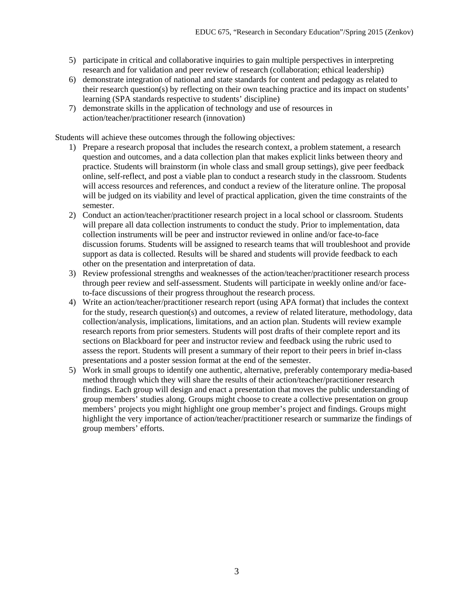- 5) participate in critical and collaborative inquiries to gain multiple perspectives in interpreting research and for validation and peer review of research (collaboration; ethical leadership)
- 6) demonstrate integration of national and state standards for content and pedagogy as related to their research question(s) by reflecting on their own teaching practice and its impact on students' learning (SPA standards respective to students' discipline)
- 7) demonstrate skills in the application of technology and use of resources in action/teacher/practitioner research (innovation)

Students will achieve these outcomes through the following objectives:

- 1) Prepare a research proposal that includes the research context, a problem statement, a research question and outcomes, and a data collection plan that makes explicit links between theory and practice. Students will brainstorm (in whole class and small group settings), give peer feedback online, self-reflect, and post a viable plan to conduct a research study in the classroom. Students will access resources and references, and conduct a review of the literature online. The proposal will be judged on its viability and level of practical application, given the time constraints of the semester.
- 2) Conduct an action/teacher/practitioner research project in a local school or classroom. Students will prepare all data collection instruments to conduct the study. Prior to implementation, data collection instruments will be peer and instructor reviewed in online and/or face-to-face discussion forums. Students will be assigned to research teams that will troubleshoot and provide support as data is collected. Results will be shared and students will provide feedback to each other on the presentation and interpretation of data.
- 3) Review professional strengths and weaknesses of the action/teacher/practitioner research process through peer review and self-assessment. Students will participate in weekly online and/or faceto-face discussions of their progress throughout the research process.
- 4) Write an action/teacher/practitioner research report (using APA format) that includes the context for the study, research question(s) and outcomes, a review of related literature, methodology, data collection/analysis, implications, limitations, and an action plan. Students will review example research reports from prior semesters. Students will post drafts of their complete report and its sections on Blackboard for peer and instructor review and feedback using the rubric used to assess the report. Students will present a summary of their report to their peers in brief in-class presentations and a poster session format at the end of the semester.
- 5) Work in small groups to identify one authentic, alternative, preferably contemporary media-based method through which they will share the results of their action/teacher/practitioner research findings. Each group will design and enact a presentation that moves the public understanding of group members' studies along. Groups might choose to create a collective presentation on group members' projects you might highlight one group member's project and findings. Groups might highlight the very importance of action/teacher/practitioner research or summarize the findings of group members' efforts.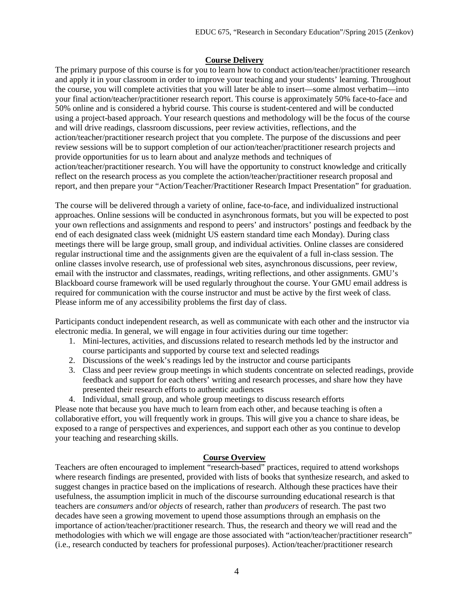### **Course Delivery**

The primary purpose of this course is for you to learn how to conduct action/teacher/practitioner research and apply it in your classroom in order to improve your teaching and your students' learning. Throughout the course, you will complete activities that you will later be able to insert—some almost verbatim—into your final action/teacher/practitioner research report. This course is approximately 50% face-to-face and 50% online and is considered a hybrid course. This course is student-centered and will be conducted using a project-based approach. Your research questions and methodology will be the focus of the course and will drive readings, classroom discussions, peer review activities, reflections, and the action/teacher/practitioner research project that you complete. The purpose of the discussions and peer review sessions will be to support completion of our action/teacher/practitioner research projects and provide opportunities for us to learn about and analyze methods and techniques of action/teacher/practitioner research. You will have the opportunity to construct knowledge and critically reflect on the research process as you complete the action/teacher/practitioner research proposal and report, and then prepare your "Action/Teacher/Practitioner Research Impact Presentation" for graduation.

The course will be delivered through a variety of online, face-to-face, and individualized instructional approaches. Online sessions will be conducted in asynchronous formats, but you will be expected to post your own reflections and assignments and respond to peers' and instructors' postings and feedback by the end of each designated class week (midnight US eastern standard time each Monday). During class meetings there will be large group, small group, and individual activities. Online classes are considered regular instructional time and the assignments given are the equivalent of a full in-class session. The online classes involve research, use of professional web sites, asynchronous discussions, peer review, email with the instructor and classmates, readings, writing reflections, and other assignments. GMU's Blackboard course framework will be used regularly throughout the course. Your GMU email address is required for communication with the course instructor and must be active by the first week of class. Please inform me of any accessibility problems the first day of class.

Participants conduct independent research, as well as communicate with each other and the instructor via electronic media. In general, we will engage in four activities during our time together:

- 1. Mini-lectures, activities, and discussions related to research methods led by the instructor and course participants and supported by course text and selected readings
- 2. Discussions of the week's readings led by the instructor and course participants
- 3. Class and peer review group meetings in which students concentrate on selected readings, provide feedback and support for each others' writing and research processes, and share how they have presented their research efforts to authentic audiences
- 4. Individual, small group, and whole group meetings to discuss research efforts

Please note that because you have much to learn from each other, and because teaching is often a collaborative effort, you will frequently work in groups. This will give you a chance to share ideas, be exposed to a range of perspectives and experiences, and support each other as you continue to develop your teaching and researching skills.

### **Course Overview**

Teachers are often encouraged to implement "research-based" practices, required to attend workshops where research findings are presented, provided with lists of books that synthesize research, and asked to suggest changes in practice based on the implications of research. Although these practices have their usefulness, the assumption implicit in much of the discourse surrounding educational research is that teachers are *consumers* and/or *objects* of research, rather than *producers* of research. The past two decades have seen a growing movement to upend those assumptions through an emphasis on the importance of action/teacher/practitioner research. Thus, the research and theory we will read and the methodologies with which we will engage are those associated with "action/teacher/practitioner research" (i.e., research conducted by teachers for professional purposes). Action/teacher/practitioner research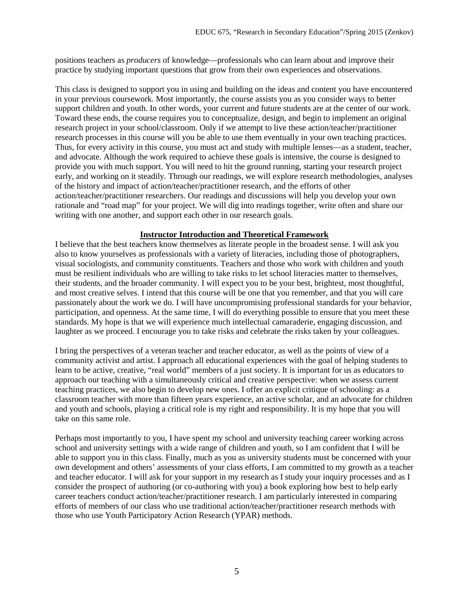positions teachers as *producers* of knowledge—professionals who can learn about and improve their practice by studying important questions that grow from their own experiences and observations.

This class is designed to support you in using and building on the ideas and content you have encountered in your previous coursework. Most importantly, the course assists you as you consider ways to better support children and youth. In other words, your current and future students are at the center of our work. Toward these ends, the course requires you to conceptualize, design, and begin to implement an original research project in your school/classroom. Only if we attempt to live these action/teacher/practitioner research processes in this course will you be able to use them eventually in your own teaching practices. Thus, for every activity in this course, you must act and study with multiple lenses—as a student, teacher, and advocate. Although the work required to achieve these goals is intensive, the course is designed to provide you with much support. You will need to hit the ground running, starting your research project early, and working on it steadily. Through our readings, we will explore research methodologies, analyses of the history and impact of action/teacher/practitioner research, and the efforts of other action/teacher/practitioner researchers. Our readings and discussions will help you develop your own rationale and "road map" for your project. We will dig into readings together, write often and share our writing with one another, and support each other in our research goals.

### **Instructor Introduction and Theoretical Framework**

I believe that the best teachers know themselves as literate people in the broadest sense. I will ask you also to know yourselves as professionals with a variety of literacies, including those of photographers, visual sociologists, and community constituents. Teachers and those who work with children and youth must be resilient individuals who are willing to take risks to let school literacies matter to themselves, their students, and the broader community. I will expect you to be your best, brightest, most thoughtful, and most creative selves. I intend that this course will be one that you remember, and that you will care passionately about the work we do. I will have uncompromising professional standards for your behavior, participation, and openness. At the same time, I will do everything possible to ensure that you meet these standards. My hope is that we will experience much intellectual camaraderie, engaging discussion, and laughter as we proceed. I encourage you to take risks and celebrate the risks taken by your colleagues.

I bring the perspectives of a veteran teacher and teacher educator, as well as the points of view of a community activist and artist. I approach all educational experiences with the goal of helping students to learn to be active, creative, "real world" members of a just society. It is important for us as educators to approach our teaching with a simultaneously critical and creative perspective: when we assess current teaching practices, we also begin to develop new ones. I offer an explicit critique of schooling: as a classroom teacher with more than fifteen years experience, an active scholar, and an advocate for children and youth and schools, playing a critical role is my right and responsibility. It is my hope that you will take on this same role.

Perhaps most importantly to you, I have spent my school and university teaching career working across school and university settings with a wide range of children and youth, so I am confident that I will be able to support you in this class. Finally, much as you as university students must be concerned with your own development and others' assessments of your class efforts, I am committed to my growth as a teacher and teacher educator. I will ask for your support in my research as I study your inquiry processes and as I consider the prospect of authoring (or co-authoring with you) a book exploring how best to help early career teachers conduct action/teacher/practitioner research. I am particularly interested in comparing efforts of members of our class who use traditional action/teacher/practitioner research methods with those who use Youth Participatory Action Research (YPAR) methods.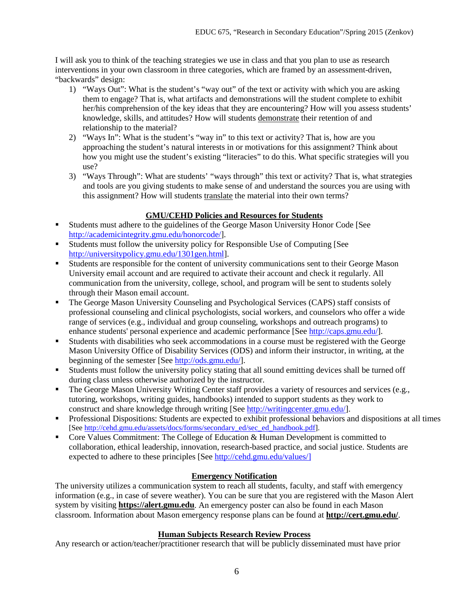I will ask you to think of the teaching strategies we use in class and that you plan to use as research interventions in your own classroom in three categories, which are framed by an assessment-driven, "backwards" design:

- 1) "Ways Out": What is the student's "way out" of the text or activity with which you are asking them to engage? That is, what artifacts and demonstrations will the student complete to exhibit her/his comprehension of the key ideas that they are encountering? How will you assess students' knowledge, skills, and attitudes? How will students demonstrate their retention of and relationship to the material?
- 2) "Ways In": What is the student's "way in" to this text or activity? That is, how are you approaching the student's natural interests in or motivations for this assignment? Think about how you might use the student's existing "literacies" to do this. What specific strategies will you use?
- 3) "Ways Through": What are students' "ways through" this text or activity? That is, what strategies and tools are you giving students to make sense of and understand the sources you are using with this assignment? How will students translate the material into their own terms?

# **GMU/CEHD Policies and Resources for Students**

- Students must adhere to the guidelines of the George Mason University Honor Code [See [http://academicintegrity.gmu.edu/honorcode/\]](http://academicintegrity.gmu.edu/honorcode/).
- Students must follow the university policy for Responsible Use of Computing [See [http://universitypolicy.gmu.edu/1301gen.html\]](http://universitypolicy.gmu.edu/1301gen.html).
- Students are responsible for the content of university communications sent to their George Mason University email account and are required to activate their account and check it regularly. All communication from the university, college, school, and program will be sent to students solely through their Mason email account.
- The George Mason University Counseling and Psychological Services (CAPS) staff consists of professional counseling and clinical psychologists, social workers, and counselors who offer a wide range of services (e.g., individual and group counseling, workshops and outreach programs) to enhance students' personal experience and academic performance [See [http://caps.gmu.edu/\]](http://caps.gmu.edu/).
- Students with disabilities who seek accommodations in a course must be registered with the George Mason University Office of Disability Services (ODS) and inform their instructor, in writing, at the beginning of the semester [See [http://ods.gmu.edu/\]](http://ods.gmu.edu/).
- Students must follow the university policy stating that all sound emitting devices shall be turned off during class unless otherwise authorized by the instructor.
- The George Mason University Writing Center staff provides a variety of resources and services (e.g., tutoring, workshops, writing guides, handbooks) intended to support students as they work to construct and share knowledge through writing [See [http://writingcenter.gmu.edu/\]](http://writingcenter.gmu.edu/).
- $\blacksquare$  Professional Dispositions: Students are expected to exhibit professional behaviors and dispositions at all times [See [http://cehd.gmu.edu/assets/docs/forms/secondary\\_ed/sec\\_ed\\_handbook.pdf\]](http://cehd.gmu.edu/assets/docs/forms/secondary_ed/sec_ed_handbook.pdf).
- Core Values Commitment: The College of Education & Human Development is committed to collaboration, ethical leadership, innovation, research-based practice, and social justice. Students are expected to adhere to these principles [See [http://cehd.gmu.edu/values/\]](http://cehd.gmu.edu/values/)

# **Emergency Notification**

The university utilizes a communication system to reach all students, faculty, and staff with emergency information (e.g., in case of severe weather). You can be sure that you are registered with the Mason Alert system by visiting **[https://alert.gmu.edu](https://alert.gmu.edu/)**. An emergency poster can also be found in each Mason classroom. Information about Mason emergency response plans can be found at **<http://cert.gmu.edu/>**.

# **Human Subjects Research Review Process**

Any research or action/teacher/practitioner research that will be publicly disseminated must have prior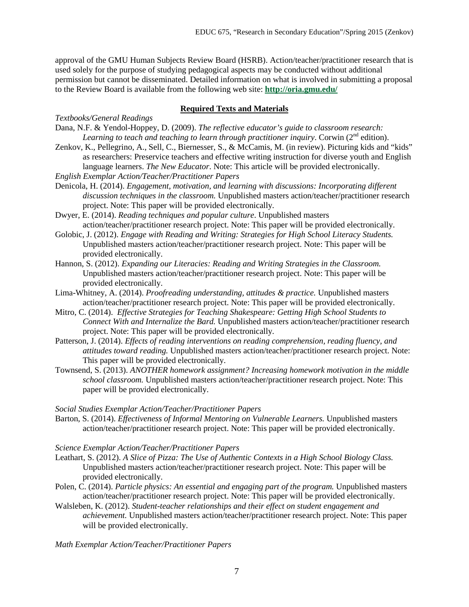approval of the GMU Human Subjects Review Board (HSRB). Action/teacher/practitioner research that is used solely for the purpose of studying pedagogical aspects may be conducted without additional permission but cannot be disseminated. Detailed information on what is involved in submitting a proposal to the Review Board is available from the following web site: **<http://oria.gmu.edu/>**

#### **Required Texts and Materials**

*Textbooks/General Readings*

- Dana, N.F. & Yendol-Hoppey, D. (2009). *The reflective educator's guide to classroom research:*  Learning to teach and teaching to learn through practitioner inquiry. Corwin (2<sup>nd</sup> edition).
- Zenkov, K., Pellegrino, A., Sell, C., Biernesser, S., & McCamis, M. (in review). Picturing kids and "kids" as researchers: Preservice teachers and effective writing instruction for diverse youth and English language learners. *The New Educator*. Note: This article will be provided electronically.
- *English Exemplar Action/Teacher/Practitioner Papers*
- Denicola, H. (2014). *Engagement, motivation, and learning with discussions: Incorporating different discussion techniques in the classroom.* Unpublished masters action/teacher/practitioner research project. Note: This paper will be provided electronically.
- Dwyer, E. (2014). *Reading techniques and popular culture*. Unpublished masters action/teacher/practitioner research project. Note: This paper will be provided electronically.
- Golobic, J. (2012). *Engage with Reading and Writing: Strategies for High School Literacy Students.*  Unpublished masters action/teacher/practitioner research project. Note: This paper will be provided electronically.
- Hannon, S. (2012). *Expanding our Literacies: Reading and Writing Strategies in the Classroom.* Unpublished masters action/teacher/practitioner research project. Note: This paper will be provided electronically.
- Lima-Whitney, A. (2014). *Proofreading understanding, attitudes & practice.* Unpublished masters action/teacher/practitioner research project. Note: This paper will be provided electronically.
- Mitro, C. (2014). *Effective Strategies for Teaching Shakespeare: Getting High School Students to Connect With and Internalize the Bard.* Unpublished masters action/teacher/practitioner research project. Note: This paper will be provided electronically.
- Patterson, J. (2014). *Effects of reading interventions on reading comprehension, reading fluency, and attitudes toward reading.* Unpublished masters action/teacher/practitioner research project. Note: This paper will be provided electronically.
- Townsend, S. (2013). *ANOTHER homework assignment? Increasing homework motivation in the middle school classroom.* Unpublished masters action/teacher/practitioner research project. Note: This paper will be provided electronically.

*Social Studies Exemplar Action/Teacher/Practitioner Papers*

Barton, S. (2014). *Effectiveness of Informal Mentoring on Vulnerable Learners.* Unpublished masters action/teacher/practitioner research project. Note: This paper will be provided electronically.

*Science Exemplar Action/Teacher/Practitioner Papers*

- Leathart, S. (2012). *A Slice of Pizza: The Use of Authentic Contexts in a High School Biology Class.* Unpublished masters action/teacher/practitioner research project. Note: This paper will be provided electronically.
- Polen, C. (2014). *Particle physics: An essential and engaging part of the program.* Unpublished masters action/teacher/practitioner research project. Note: This paper will be provided electronically.
- Walsleben, K. (2012). *Student-teacher relationships and their effect on student engagement and achievement.* Unpublished masters action/teacher/practitioner research project. Note: This paper will be provided electronically.

*Math Exemplar Action/Teacher/Practitioner Papers*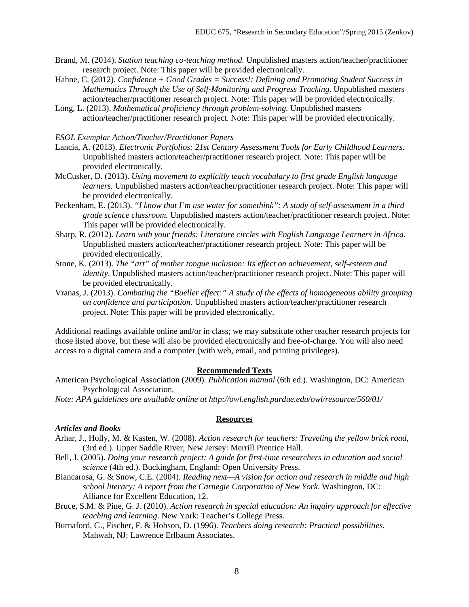- Brand, M. (2014). *Station teaching co-teaching method.* Unpublished masters action/teacher/practitioner research project. Note: This paper will be provided electronically.
- Hahne, C. (2012). *Confidence + Good Grades = Success!: Defining and Promoting Student Success in Mathematics Through the Use of Self-Monitoring and Progress Tracking*. Unpublished masters action/teacher/practitioner research project. Note: This paper will be provided electronically.
- Long, L. (2013). *Mathematical proficiency through problem-solving.* Unpublished masters action/teacher/practitioner research project. Note: This paper will be provided electronically.

#### *ESOL Exemplar Action/Teacher/Practitioner Papers*

- Lancia, A. (2013). *Electronic Portfolios: 21st Century Assessment Tools for Early Childhood Learners.* Unpublished masters action/teacher/practitioner research project. Note: This paper will be provided electronically.
- McCusker, D. (2013). *Using movement to explicitly teach vocabulary to first grade English language learners.* Unpublished masters action/teacher/practitioner research project. Note: This paper will be provided electronically.
- Peckenham, E. (2013). *"I know that I'm use water for somethink": A study of self-assessment in a third grade science classroom.* Unpublished masters action/teacher/practitioner research project. Note: This paper will be provided electronically.
- Sharp, R. (2012). *Learn with your friends: Literature circles with English Language Learners in Africa*. Unpublished masters action/teacher/practitioner research project. Note: This paper will be provided electronically.
- Stone, K. (2013). *The "art" of mother tongue inclusion: Its effect on achievement, self-esteem and identity.* Unpublished masters action/teacher/practitioner research project. Note: This paper will be provided electronically.
- Vranas, J. (2013). *Combating the "Bueller effect:" A study of the effects of homogeneous ability grouping on confidence and participation.* Unpublished masters action/teacher/practitioner research project. Note: This paper will be provided electronically.

Additional readings available online and/or in class; we may substitute other teacher research projects for those listed above, but these will also be provided electronically and free-of-charge. You will also need access to a digital camera and a computer (with web, email, and printing privileges).

### **Recommended Texts**

- American Psychological Association (2009). *Publication manual* (6th ed.). Washington, DC: American Psychological Association.
- *Note: APA guidelines are available online at http://owl.english.purdue.edu/owl/resource/560/01/*

### *Articles and Books*

Arhar, J., Holly, M. & Kasten, W. (2008). *Action research for teachers: Traveling the yellow brick road*, (3rd ed.). Upper Saddle River, New Jersey: Merrill Prentice Hall.

**Resources**

- Bell, J. (2005). *Doing your research project: A guide for first-time researchers in education and social science* (4th ed.). Buckingham, England: Open University Press.
- Biancarosa, G. & Snow, C.E. (2004). *Reading next—A vision for action and research in middle and high school literacy: A report from the Carnegie Corporation of New York*. Washington, DC: Alliance for Excellent Education, 12.
- Bruce, S.M. & Pine, G. J. (2010). *Action research in special education: An inquiry approach for effective teaching and learning*. New York: Teacher's College Press.
- Burnaford, G., Fischer, F. & Hobson, D. (1996). *Teachers doing research: Practical possibilities.* Mahwah, NJ: Lawrence Erlbaum Associates.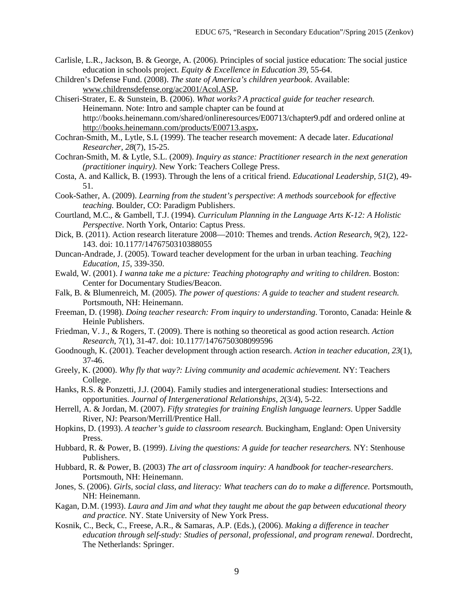- Carlisle, L.R., Jackson, B. & George, A. (2006). Principles of social justice education: The social justice education in schools project. *Equity & Excellence in Education 39,* 55-64.
- Children's Defense Fund. (2008). *The state of America's children yearbook*. Available: [www.childrensdefense.org/ac2001/Acol.ASP](http://www.childrensdefense.org/ac2001/Acol.ASP)**.**
- Chiseri-Strater, E. & Sunstein, B. (2006). *What works? A practical guide for teacher research.*  Heinemann. Note: Intro and sample chapter can be found at http://books.heinemann.com/shared/onlineresources/E00713/chapter9.pdf and ordered online at <http://books.heinemann.com/products/E00713.aspx>**.**
- Cochran-Smith, M., Lytle, S.L (1999). The teacher research movement: A decade later. *Educational Researcher, 28*(7), 15-25.
- Cochran-Smith, M. & Lytle, S.L. (2009). *Inquiry as stance: Practitioner research in the next generation (practitioner inquiry)*. New York: Teachers College Press.
- Costa, A. and Kallick, B. (1993). Through the lens of a critical friend. *Educational Leadership, 51*(2), 49- 51.
- Cook-Sather, A. (2009). *Learning from the student's perspective*: *A methods sourcebook for effective teaching.* Boulder, CO: Paradigm Publishers.
- Courtland, M.C., & Gambell, T.J. (1994)*. Curriculum Planning in the Language Arts K-12: A Holistic Perspective*. North York, Ontario: Captus Press.
- Dick, B. (2011). Action research literature 2008—2010: Themes and trends. *Action Research*, *9*(2), 122- 143. doi: 10.1177/1476750310388055
- Duncan-Andrade, J. (2005). Toward teacher development for the urban in urban teaching. *Teaching Education, 15*, 339-350.
- Ewald, W. (2001). *I wanna take me a picture: Teaching photography and writing to children*. Boston: Center for Documentary Studies/Beacon.
- Falk, B. & Blumenreich, M. (2005). *The power of questions: A guide to teacher and student research.*  Portsmouth, NH: Heinemann.
- Freeman, D. (1998). *Doing teacher research: From inquiry to understanding*. Toronto, Canada: Heinle & Heinle Publishers.
- Friedman, V. J., & Rogers, T. (2009). There is nothing so theoretical as good action research. *Action Research*, 7(1), 31-47. doi: 10.1177/1476750308099596
- Goodnough, K. (2001). Teacher development through action research. *Action in teacher education, 23*(1), 37-46.
- Greely, K. (2000). *Why fly that way?: Living community and academic achievement.* NY: Teachers College.
- Hanks, R.S. & Ponzetti, J.J. (2004). Family studies and intergenerational studies: Intersections and opportunities. *Journal of Intergenerational Relationships, 2*(3/4), 5-22.
- Herrell, A. & Jordan, M. (2007). *Fifty strategies for training English language learners*. Upper Saddle River, NJ: Pearson/Merrill/Prentice Hall.
- Hopkins, D. (1993). *A teacher's guide to classroom research.* Buckingham, England: Open University Press.
- Hubbard, R. & Power, B. (1999). *Living the questions: A guide for teacher researchers.* NY: Stenhouse Publishers.
- Hubbard, R. & Power, B. (2003) *The art of classroom inquiry: A handbook for teacher-researchers*. Portsmouth, NH: Heinemann.
- Jones, S. (2006). *Girls, social class, and literacy: What teachers can do to make a difference*. Portsmouth, NH: Heinemann.
- Kagan, D.M. (1993). *Laura and Jim and what they taught me about the gap between educational theory and practice.* NY. State University of New York Press.
- Kosnik, C., Beck, C., Freese, A.R., & Samaras, A.P. (Eds.), (2006). *Making a difference in teacher education through self-study: Studies of personal, professional, and program renewal*. Dordrecht, The Netherlands: Springer.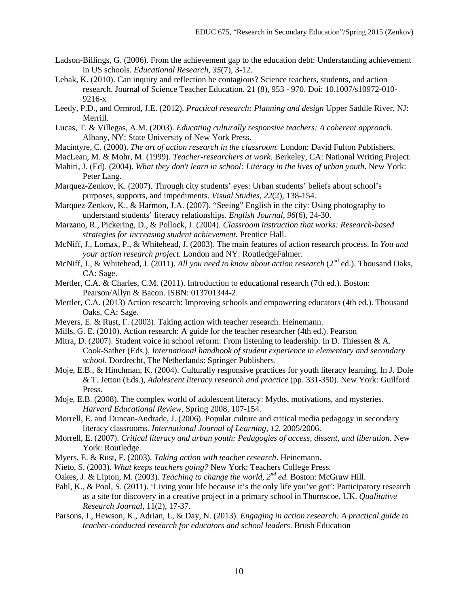- Ladson-Billings, G. (2006). From the achievement gap to the education debt: Understanding achievement in US schools. *Educational Research, 35*(7), 3-12.
- Lebak, K. (2010). Can inquiry and reflection be contagious? Science teachers, students, and action research. Journal of Science Teacher Education. 21 (8), 953 - 970. Doi: 10.1007/s10972-010- 9216-x
- Leedy, P.D., and Ormrod, J.E. (2012). *Practical research: Planning and design* Upper Saddle River, NJ: Merrill.
- Lucas, T. & Villegas, A.M. (2003). *Educating culturally responsive teachers: A coherent approach*. Albany, NY: State University of New York Press.
- Macintyre, C. (2000). *The art of action research in the classroom.* London: David Fulton Publishers.
- MacLean, M. & Mohr, M. (1999). *Teacher-researchers at work.* Berkeley, CA: National Writing Project.
- Mahiri, J. (Ed). (2004). *What they don't learn in school: Literacy in the lives of urban youth*. New York: Peter Lang.
- Marquez-Zenkov, K. (2007). Through city students' eyes: Urban students' beliefs about school's purposes, supports, and impediments. *Visual Studies, 22*(2), 138-154.
- Marquez-Zenkov, K., & Harmon, J.A. (2007). "Seeing" English in the city: Using photography to understand students' literacy relationships. *English Journal, 96*(6), 24-30.
- Marzano, R., Pickering, D., & Pollock, J. (2004). *Classroom instruction that works: Research-based strategies for increasing student achievement.* Prentice Hall.
- McNiff, J., Lomax, P., & Whitehead, J. (2003). The main features of action research process. In *You and your action research project.* London and NY: RoutledgeFalmer.
- McNiff, J., & Whitehead, J. (2011). *All you need to know about action research* (2<sup>nd</sup> ed.). Thousand Oaks, CA: Sage.
- Mertler, C.A. & Charles, C.M. (2011). Introduction to educational research (7th ed.). Boston: Pearson/Allyn & Bacon. ISBN: 013701344-2.
- Mertler, C.A. (2013) Action research: Improving schools and empowering educators (4th ed.). Thousand Oaks, CA: Sage.
- Meyers, E. & Rust, F. (2003). Taking action with teacher research. Heinemann.
- Mills, G. E. (2010). Action research: A guide for the teacher researcher (4th ed.). Pearson
- Mitra, D. (2007). Student voice in school reform: From listening to leadership. In D. Thiessen & A. Cook-Sather (Eds.), *International handbook of student experience in elementary and secondary school*. Dordrecht, The Netherlands: Springer Publishers.
- Moje, E.B., & Hinchman, K. (2004). Culturally responsive practices for youth literacy learning. In J. Dole & T. Jetton (Eds.), *Adolescent literacy research and practice* (pp. 331-350). New York: Guilford Press.
- Moje, E.B. (2008). The complex world of adolescent literacy: Myths, motivations, and mysteries. *Harvard Educational Review*, Spring 2008, 107-154.
- Morrell, E. and Duncan-Andrade, J. (2006). Popular culture and critical media pedagogy in secondary literacy classrooms. *International Journal of Learning, 12*, 2005/2006.
- Morrell, E. (2007). *Critical literacy and urban youth: Pedagogies of access, dissent, and liberation*. New York: Routledge.
- Myers, E. & Rust, F. (2003). *Taking action with teacher research*. Heinemann.
- Nieto, S. (2003). *What keeps teachers going?* New York: Teachers College Press.
- Oakes, J. & Lipton, M. (2003). *Teaching to change the world, 2nd ed.* Boston: McGraw Hill.
- Pahl, K., & Pool, S. (2011). 'Living your life because it's the only life you've got': Participatory research as a site for discovery in a creative project in a primary school in Thurnscoe, UK. *Qualitative Research Journal*, 11(2), 17-37.
- Parsons, J., Hewson, K., Adrian, L, & Day, N. (2013). *Engaging in action research: A practical guide to teacher-conducted research for educators and school leaders*. Brush Education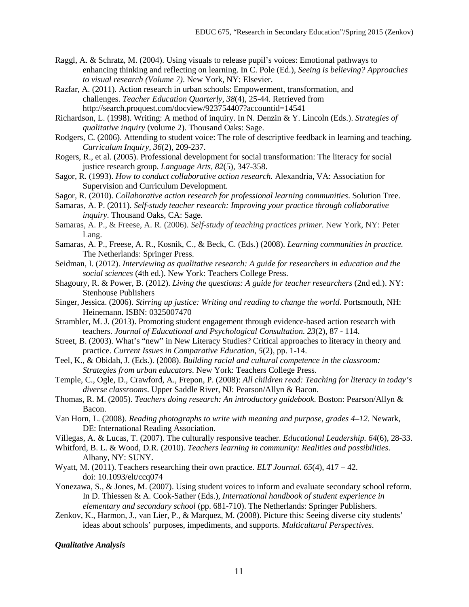- Raggl, A. & Schratz, M. (2004). Using visuals to release pupil's voices: Emotional pathways to enhancing thinking and reflecting on learning. In C. Pole (Ed.), *Seeing is believing? Approaches to visual research (Volume 7)*. New York, NY: Elsevier.
- Razfar, A. (2011). Action research in urban schools: Empowerment, transformation, and challenges. *Teacher Education Quarterly, 38*(4), 25-44. Retrieved from http://search.proquest.com/docview/923754407?accountid=14541
- Richardson, L. (1998). Writing: A method of inquiry. In N. Denzin & Y. Lincoln (Eds.). *Strategies of qualitative inquiry* (volume 2). Thousand Oaks: Sage.
- Rodgers, C. (2006). Attending to student voice: The role of descriptive feedback in learning and teaching. *Curriculum Inquiry, 36*(2), 209-237.
- Rogers, R., et al. (2005). Professional development for social transformation: The literacy for social justice research group. *Language Arts, 82*(5), 347-358.
- Sagor, R. (1993). *How to conduct collaborative action research.* Alexandria, VA: Association for Supervision and Curriculum Development.
- Sagor, R. (2010). *Collaborative action research for professional learning communities*. Solution Tree.
- Samaras, A. P. (2011). *Self-study teacher research: Improving your practice through collaborative inquiry.* Thousand Oaks, CA: Sage.
- Samaras, A. P., & Freese, A. R. (2006). *Self-study of teaching practices primer.* New York, NY: Peter Lang.
- Samaras, A. P., Freese, A. R., Kosnik, C., & Beck, C. (Eds.) (2008). *Learning communities in practice.*  The Netherlands: Springer Press.
- Seidman, I. (2012). *Interviewing as qualitative research: A guide for researchers in education and the social sciences* (4th ed.). New York: Teachers College Press.
- Shagoury, R. & Power, B. (2012). *Living the questions: A guide for teacher researchers* (2nd ed.). NY: Stenhouse Publishers
- Singer, Jessica. (2006). *Stirring up justice: Writing and reading to change the world*. Portsmouth, NH: Heinemann. ISBN: 0325007470
- Strambler, M. J. (2013). Promoting student engagement through evidence-based action research with teachers. *Journal of Educational and Psychological Consultation. 23*(2), 87 - 114.
- Street, B. (2003). What's "new" in New Literacy Studies? Critical approaches to literacy in theory and practice. *Current Issues in Comparative Education, 5*(2), pp. 1-14.
- Teel, K., & Obidah, J. (Eds.). (2008). *Building racial and cultural competence in the classroom: Strategies from urban educators*. New York: Teachers College Press.
- Temple, C., Ogle, D., Crawford, A., Frepon, P. (2008): *All children read: Teaching for literacy in today's diverse classrooms*. Upper Saddle River, NJ: Pearson/Allyn & Bacon.
- Thomas, R. M. (2005). *Teachers doing research: An introductory guidebook.* Boston: Pearson/Allyn & Bacon.
- Van Horn, L. (2008). *Reading photographs to write with meaning and purpose, grades 4–12*. Newark, DE: International Reading Association.
- Villegas, A. & Lucas, T. (2007). The culturally responsive teacher. *Educational Leadership. 64*(6), 28-33.
- Whitford, B. L. & Wood, D.R. (2010). *Teachers learning in community: Realities and possibilities*. Albany, NY: SUNY.
- Wyatt, M. (2011). Teachers researching their own practice*. ELT Journal. 65*(4), 417 42. doi: 10.1093/elt/ccq074
- Yonezawa, S., & Jones, M. (2007). Using student voices to inform and evaluate secondary school reform. In D. Thiessen & A. Cook-Sather (Eds.), *International handbook of student experience in elementary and secondary school* (pp. 681-710). The Netherlands: Springer Publishers.
- Zenkov, K., Harmon, J., van Lier, P., & Marquez, M. (2008). Picture this: Seeing diverse city students' ideas about schools' purposes, impediments, and supports. *Multicultural Perspectives*.

#### *Qualitative Analysis*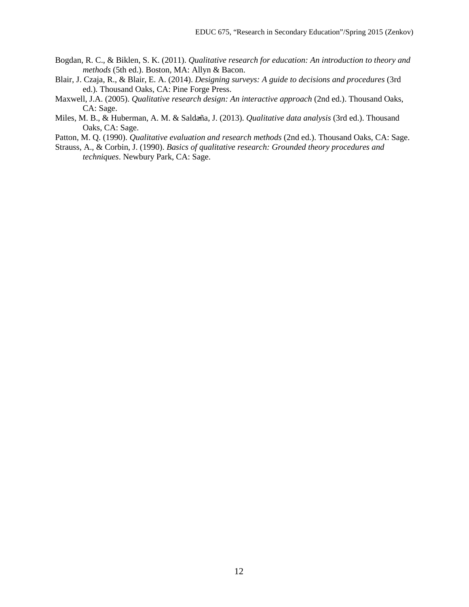- Bogdan, R. C., & Biklen, S. K. (2011). *Qualitative research for education: An introduction to theory and methods* (5th ed.). Boston, MA: Allyn & Bacon.
- Blair, J. Czaja, R., & Blair, E. A. (2014). *Designing surveys: A guide to decisions and procedures* (3rd ed.)*.* Thousand Oaks, CA: Pine Forge Press.
- Maxwell, J.A. (2005). *Qualitative research design: An interactive approach* (2nd ed.). Thousand Oaks, CA: Sage.
- Miles, M. B., & Huberman, A. M. & Saldaña, J. (2013). *Qualitative data analysis* (3rd ed.). Thousand Oaks, CA: Sage.
- Patton, M. Q. (1990). *Qualitative evaluation and research methods* (2nd ed.). Thousand Oaks, CA: Sage.
- Strauss, A., & Corbin, J. (1990). *Basics of qualitative research: Grounded theory procedures and techniques*. Newbury Park, CA: Sage.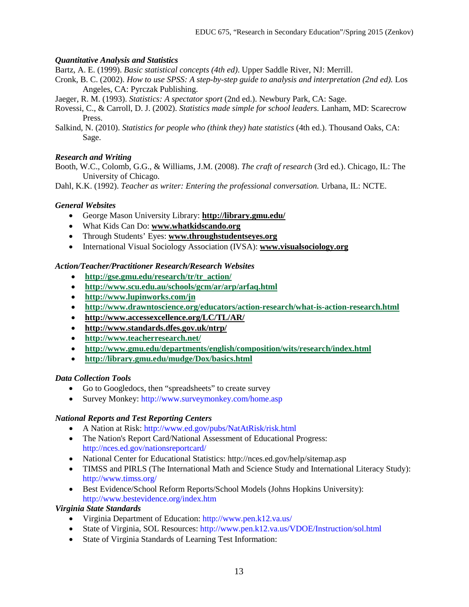### *Quantitative Analysis and Statistics*

Bartz, A. E. (1999). *Basic statistical concepts (4th ed)*. Upper Saddle River, NJ: Merrill.

Cronk, B. C. (2002). *How to use SPSS: A step-by-step guide to analysis and interpretation (2nd ed).* Los Angeles, CA: Pyrczak Publishing.

Jaeger, R. M. (1993). *Statistics: A spectator sport* (2nd ed.). Newbury Park, CA: Sage.

Rovessi, C., & Carroll, D. J. (2002). *Statistics made simple for school leaders.* Lanham, MD: Scarecrow Press.

Salkind, N. (2010). *Statistics for people who (think they) hate statistics* (4th ed.). Thousand Oaks, CA: Sage.

### *Research and Writing*

Booth, W.C., Colomb, G.G., & Williams, J.M. (2008). *The craft of research* (3rd ed.). Chicago, IL: The University of Chicago.

Dahl, K.K. (1992). *Teacher as writer: Entering the professional conversation.* Urbana, IL: NCTE.

### *General Websites*

- George Mason University Library: **<http://library.gmu.edu/>**
- What Kids Can Do: **[www.whatkidscando.org](http://www.whatkidscando.org/)**
- Through Students' Eyes: **[www.throughstudentseyes.org](http://www.throughstudentseyes.org/)**
- International Visual Sociology Association (IVSA): **[www.visualsociology.org](http://www.visualsociology.org/)**

### *Action/Teacher/Practitioner Research/Research Websites*

- **[http://gse.gmu.edu/research/tr/tr\\_action/](http://gse.gmu.edu/research/tr/tr_action/)**
- **<http://www.scu.edu.au/schools/gcm/ar/arp/arfaq.html>**
- **<http://www.lupinworks.com/jn>**
- **<http://www.drawntoscience.org/educators/action-research/what-is-action-research.html>**
- **<http://www.accessexcellence.org/LC/TL/AR/>**
- **<http://www.standards.dfes.gov.uk/ntrp/>**
- **<http://www.teacherresearch.net/>**
- **<http://www.gmu.edu/departments/english/composition/wits/research/index.html>**
- **<http://library.gmu.edu/mudge/Dox/basics.html>**

### *Data Collection Tools*

- Go to Googledocs, then "spreadsheets" to create survey
- Survey Monkey: http://www.surveymonkey.com/home.asp

### *National Reports and Test Reporting Centers*

- A Nation at Risk: http://www.ed.gov/pubs/NatAtRisk/risk.html
- The Nation's Report Card/National Assessment of Educational Progress: http://nces.ed.gov/nationsreportcard/
- National Center for Educational Statistics: http://nces.ed.gov/help/sitemap.asp
- TIMSS and PIRLS (The International Math and Science Study and International Literacy Study): http://www.timss.org/
- Best Evidence/School Reform Reports/School Models (Johns Hopkins University): http://www.bestevidence.org/index.htm

### *Virginia State Standards*

- Virginia Department of Education: http://www.pen.k12.va.us/
- State of Virginia, SOL Resources: http://www.pen.k12.va.us/VDOE/Instruction/sol.html
- State of Virginia Standards of Learning Test Information: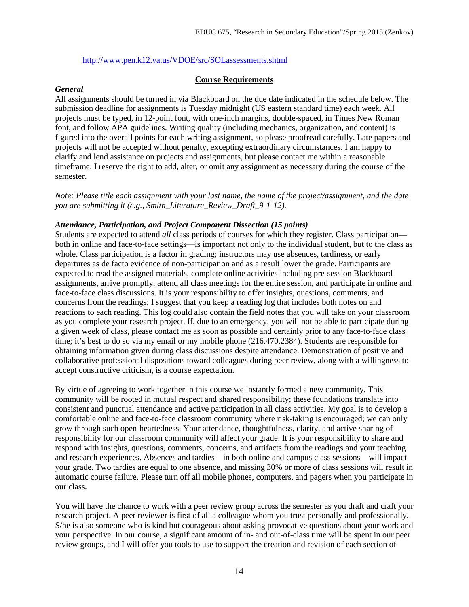#### http://www.pen.k12.va.us/VDOE/src/SOLassessments.shtml

#### **Course Requirements**

#### *General*

All assignments should be turned in via Blackboard on the due date indicated in the schedule below. The submission deadline for assignments is Tuesday midnight (US eastern standard time) each week. All projects must be typed, in 12-point font, with one-inch margins, double-spaced, in Times New Roman font, and follow APA guidelines. Writing quality (including mechanics, organization, and content) is figured into the overall points for each writing assignment, so please proofread carefully. Late papers and projects will not be accepted without penalty, excepting extraordinary circumstances. I am happy to clarify and lend assistance on projects and assignments, but please contact me within a reasonable timeframe. I reserve the right to add, alter, or omit any assignment as necessary during the course of the semester.

*Note: Please title each assignment with your last name, the name of the project/assignment, and the date you are submitting it (e.g., Smith\_Literature\_Review\_Draft\_9-1-12).*

#### *Attendance, Participation, and Project Component Dissection (15 points)*

Students are expected to attend *all* class periods of courses for which they register. Class participation both in online and face-to-face settings—is important not only to the individual student, but to the class as whole. Class participation is a factor in grading; instructors may use absences, tardiness, or early departures as de facto evidence of non-participation and as a result lower the grade. Participants are expected to read the assigned materials, complete online activities including pre-session Blackboard assignments, arrive promptly, attend all class meetings for the entire session, and participate in online and face-to-face class discussions. It is your responsibility to offer insights, questions, comments, and concerns from the readings; I suggest that you keep a reading log that includes both notes on and reactions to each reading. This log could also contain the field notes that you will take on your classroom as you complete your research project. If, due to an emergency, you will not be able to participate during a given week of class, please contact me as soon as possible and certainly prior to any face-to-face class time; it's best to do so via my email or my mobile phone (216.470.2384). Students are responsible for obtaining information given during class discussions despite attendance. Demonstration of positive and collaborative professional dispositions toward colleagues during peer review, along with a willingness to accept constructive criticism, is a course expectation.

By virtue of agreeing to work together in this course we instantly formed a new community. This community will be rooted in mutual respect and shared responsibility; these foundations translate into consistent and punctual attendance and active participation in all class activities. My goal is to develop a comfortable online and face-to-face classroom community where risk-taking is encouraged; we can only grow through such open-heartedness. Your attendance, thoughtfulness, clarity, and active sharing of responsibility for our classroom community will affect your grade. It is your responsibility to share and respond with insights, questions, comments, concerns, and artifacts from the readings and your teaching and research experiences. Absences and tardies—in both online and campus class sessions—will impact your grade. Two tardies are equal to one absence, and missing 30% or more of class sessions will result in automatic course failure. Please turn off all mobile phones, computers, and pagers when you participate in our class.

You will have the chance to work with a peer review group across the semester as you draft and craft your research project. A peer reviewer is first of all a colleague whom you trust personally and professionally. S/he is also someone who is kind but courageous about asking provocative questions about your work and your perspective. In our course, a significant amount of in- and out-of-class time will be spent in our peer review groups, and I will offer you tools to use to support the creation and revision of each section of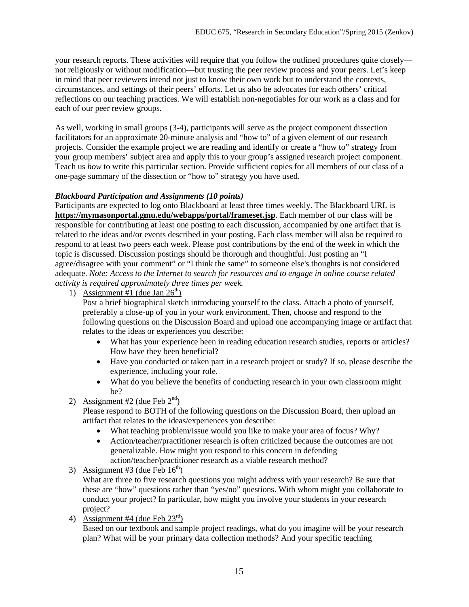your research reports. These activities will require that you follow the outlined procedures quite closely not religiously or without modification—but trusting the peer review process and your peers. Let's keep in mind that peer reviewers intend not just to know their own work but to understand the contexts, circumstances, and settings of their peers' efforts. Let us also be advocates for each others' critical reflections on our teaching practices. We will establish non-negotiables for our work as a class and for each of our peer review groups.

As well, working in small groups (3-4), participants will serve as the project component dissection facilitators for an approximate 20-minute analysis and "how to" of a given element of our research projects. Consider the example project we are reading and identify or create a "how to" strategy from your group members' subject area and apply this to your group's assigned research project component. Teach us *how* to write this particular section. Provide sufficient copies for all members of our class of a one-page summary of the dissection or "how to" strategy you have used.

# *Blackboard Participation and Assignments (10 points)*

Participants are expected to log onto Blackboard at least three times weekly. The Blackboard URL is **<https://mymasonportal.gmu.edu/webapps/portal/frameset.jsp>**. Each member of our class will be responsible for contributing at least one posting to each discussion, accompanied by one artifact that is related to the ideas and/or events described in your posting. Each class member will also be required to respond to at least two peers each week. Please post contributions by the end of the week in which the topic is discussed. Discussion postings should be thorough and thoughtful. Just posting an "I agree/disagree with your comment" or "I think the same" to someone else's thoughts is not considered adequate. *Note: Access to the Internet to search for resources and to engage in online course related activity is required approximately three times per week.* 

1) Assignment #1 (due Jan  $26<sup>th</sup>$ )

Post a brief biographical sketch introducing yourself to the class. Attach a photo of yourself, preferably a close-up of you in your work environment. Then, choose and respond to the following questions on the Discussion Board and upload one accompanying image or artifact that relates to the ideas or experiences you describe:

- What has your experience been in reading education research studies, reports or articles? How have they been beneficial?
- Have you conducted or taken part in a research project or study? If so, please describe the experience, including your role.
- What do you believe the benefits of conducting research in your own classroom might be?

# 2) Assignment #2 (due Feb  $2<sup>nd</sup>$ )

Please respond to BOTH of the following questions on the Discussion Board, then upload an artifact that relates to the ideas/experiences you describe:

- What teaching problem/issue would you like to make your area of focus? Why?
- Action/teacher/practitioner research is often criticized because the outcomes are not generalizable. How might you respond to this concern in defending action/teacher/practitioner research as a viable research method?
- 3) Assignment #3 (due Feb  $16<sup>th</sup>$ )

What are three to five research questions you might address with your research? Be sure that these are "how" questions rather than "yes/no" questions. With whom might you collaborate to conduct your project? In particular, how might you involve your students in your research project?

4) Assignment #4 (due Feb  $23<sup>rd</sup>$ )

Based on our textbook and sample project readings, what do you imagine will be your research plan? What will be your primary data collection methods? And your specific teaching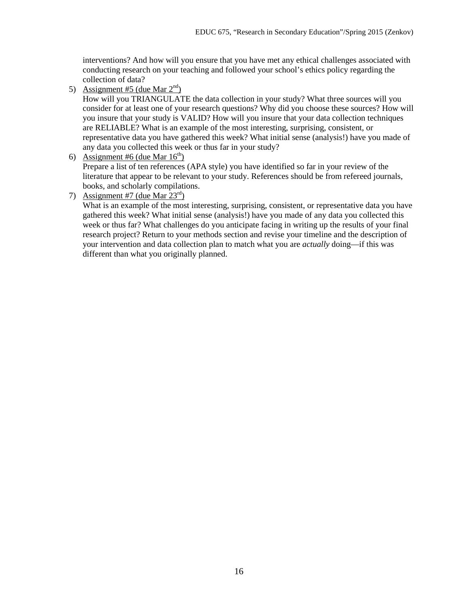interventions? And how will you ensure that you have met any ethical challenges associated with conducting research on your teaching and followed your school's ethics policy regarding the collection of data?

5) Assignment #5 (due Mar  $2<sup>nd</sup>$ )

How will you TRIANGULATE the data collection in your study? What three sources will you consider for at least one of your research questions? Why did you choose these sources? How will you insure that your study is VALID? How will you insure that your data collection techniques are RELIABLE? What is an example of the most interesting, surprising, consistent, or representative data you have gathered this week? What initial sense (analysis!) have you made of any data you collected this week or thus far in your study?

6) Assignment #6 (due Mar  $16<sup>th</sup>$ )

Prepare a list of ten references (APA style) you have identified so far in your review of the literature that appear to be relevant to your study. References should be from refereed journals, books, and scholarly compilations.

7) Assignment #7 (due Mar  $23<sup>rd</sup>$ )

What is an example of the most interesting, surprising, consistent, or representative data you have gathered this week? What initial sense (analysis!) have you made of any data you collected this week or thus far? What challenges do you anticipate facing in writing up the results of your final research project? Return to your methods section and revise your timeline and the description of your intervention and data collection plan to match what you are *actually* doing—if this was different than what you originally planned.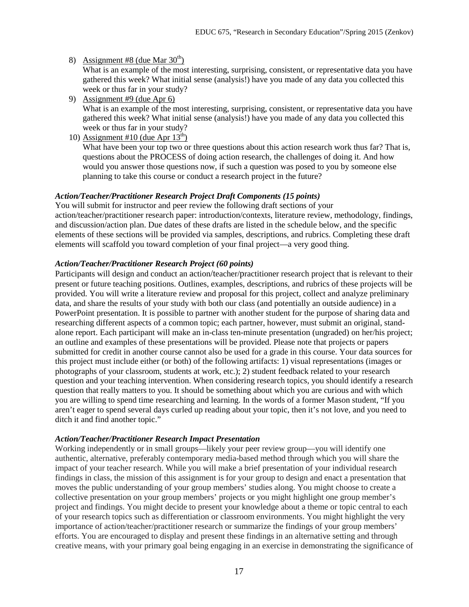### 8) Assignment #8 (due Mar  $30<sup>th</sup>$ )

What is an example of the most interesting, surprising, consistent, or representative data you have gathered this week? What initial sense (analysis!) have you made of any data you collected this week or thus far in your study?

- 9) Assignment #9 (due Apr 6) What is an example of the most interesting, surprising, consistent, or representative data you have gathered this week? What initial sense (analysis!) have you made of any data you collected this week or thus far in your study?
- 10) Assignment #10 (due Apr  $13<sup>th</sup>$ )

What have been your top two or three questions about this action research work thus far? That is, questions about the PROCESS of doing action research, the challenges of doing it. And how would you answer those questions now, if such a question was posed to you by someone else planning to take this course or conduct a research project in the future?

### *Action/Teacher/Practitioner Research Project Draft Components (15 points)*

You will submit for instructor and peer review the following draft sections of your action/teacher/practitioner research paper: introduction/contexts, literature review, methodology, findings, and discussion/action plan. Due dates of these drafts are listed in the schedule below, and the specific elements of these sections will be provided via samples, descriptions, and rubrics. Completing these draft elements will scaffold you toward completion of your final project—a very good thing.

### *Action/Teacher/Practitioner Research Project (60 points)*

Participants will design and conduct an action/teacher/practitioner research project that is relevant to their present or future teaching positions. Outlines, examples, descriptions, and rubrics of these projects will be provided. You will write a literature review and proposal for this project, collect and analyze preliminary data, and share the results of your study with both our class (and potentially an outside audience) in a PowerPoint presentation. It is possible to partner with another student for the purpose of sharing data and researching different aspects of a common topic; each partner, however, must submit an original, standalone report. Each participant will make an in-class ten-minute presentation (ungraded) on her/his project; an outline and examples of these presentations will be provided. Please note that projects or papers submitted for credit in another course cannot also be used for a grade in this course. Your data sources for this project must include either (or both) of the following artifacts: 1) visual representations (images or photographs of your classroom, students at work, etc.); 2) student feedback related to your research question and your teaching intervention. When considering research topics, you should identify a research question that really matters to you. It should be something about which you are curious and with which you are willing to spend time researching and learning. In the words of a former Mason student, "If you aren't eager to spend several days curled up reading about your topic, then it's not love, and you need to ditch it and find another topic."

### *Action/Teacher/Practitioner Research Impact Presentation*

Working independently or in small groups—likely your peer review group—you will identify one authentic, alternative, preferably contemporary media-based method through which you will share the impact of your teacher research. While you will make a brief presentation of your individual research findings in class, the mission of this assignment is for your group to design and enact a presentation that moves the public understanding of your group members' studies along. You might choose to create a collective presentation on your group members' projects or you might highlight one group member's project and findings. You might decide to present your knowledge about a theme or topic central to each of your research topics such as differentiation or classroom environments. You might highlight the very importance of action/teacher/practitioner research or summarize the findings of your group members' efforts. You are encouraged to display and present these findings in an alternative setting and through creative means, with your primary goal being engaging in an exercise in demonstrating the significance of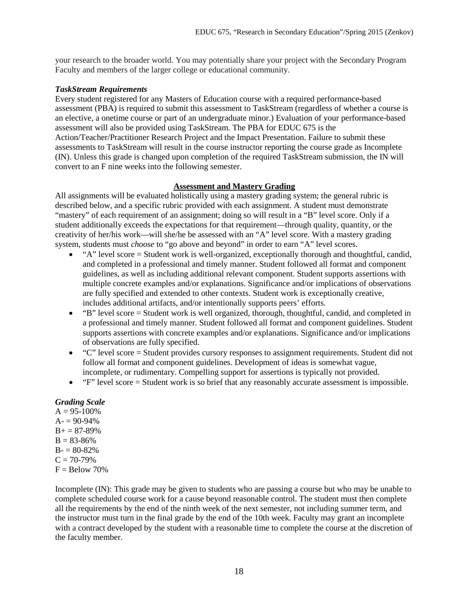your research to the broader world. You may potentially share your project with the Secondary Program Faculty and members of the larger college or educational community.

### *TaskStream Requirements*

Every student registered for any Masters of Education course with a required performance-based assessment (PBA) is required to submit this assessment to TaskStream (regardless of whether a course is an elective, a onetime course or part of an undergraduate minor.) Evaluation of your performance-based assessment will also be provided using TaskStream. The PBA for EDUC 675 is the Action/Teacher/Practitioner Research Project and the Impact Presentation. Failure to submit these assessments to TaskStream will result in the course instructor reporting the course grade as Incomplete (IN). Unless this grade is changed upon completion of the required TaskStream submission, the IN will convert to an F nine weeks into the following semester.

### **Assessment and Mastery Grading**

All assignments will be evaluated holistically using a mastery grading system; the general rubric is described below, and a specific rubric provided with each assignment. A student must demonstrate "mastery" of each requirement of an assignment; doing so will result in a "B" level score. Only if a student additionally exceeds the expectations for that requirement—through quality, quantity, or the creativity of her/his work—will she/he be assessed with an "A" level score. With a mastery grading system, students must *choose* to "go above and beyond" in order to earn "A" level scores.

- "A" level score = Student work is well-organized, exceptionally thorough and thoughtful, candid, and completed in a professional and timely manner. Student followed all format and component guidelines, as well as including additional relevant component. Student supports assertions with multiple concrete examples and/or explanations. Significance and/or implications of observations are fully specified and extended to other contexts. Student work is exceptionally creative, includes additional artifacts, and/or intentionally supports peers' efforts.
- "B" level score = Student work is well organized, thorough, thoughtful, candid, and completed in a professional and timely manner. Student followed all format and component guidelines. Student supports assertions with concrete examples and/or explanations. Significance and/or implications of observations are fully specified.
- "C" level score = Student provides cursory responses to assignment requirements. Student did not follow all format and component guidelines. Development of ideas is somewhat vague, incomplete, or rudimentary. Compelling support for assertions is typically not provided.
- "F" level score = Student work is so brief that any reasonably accurate assessment is impossible.

# *Grading Scale*

 $A = 95 - 100\%$  $A = 90-94%$  $B+= 87-89%$  $B = 83-86%$  $B - 80 - 82%$  $C = 70-79\%$  $F =$ Below 70%

Incomplete (IN): This grade may be given to students who are passing a course but who may be unable to complete scheduled course work for a cause beyond reasonable control. The student must then complete all the requirements by the end of the ninth week of the next semester, not including summer term, and the instructor must turn in the final grade by the end of the 10th week. Faculty may grant an incomplete with a contract developed by the student with a reasonable time to complete the course at the discretion of the faculty member.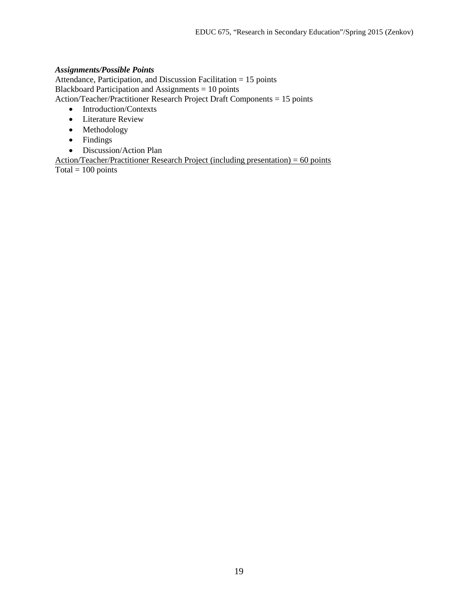### *Assignments/Possible Points*

Attendance, Participation, and Discussion Facilitation = 15 points Blackboard Participation and Assignments = 10 points Action/Teacher/Practitioner Research Project Draft Components = 15 points

- Introduction/Contexts
- Literature Review
- Methodology
- Findings
- Discussion/Action Plan

Action/Teacher/Practitioner Research Project (including presentation) =  $60$  points  $\overline{\text{Total}} = 100 \text{ points}$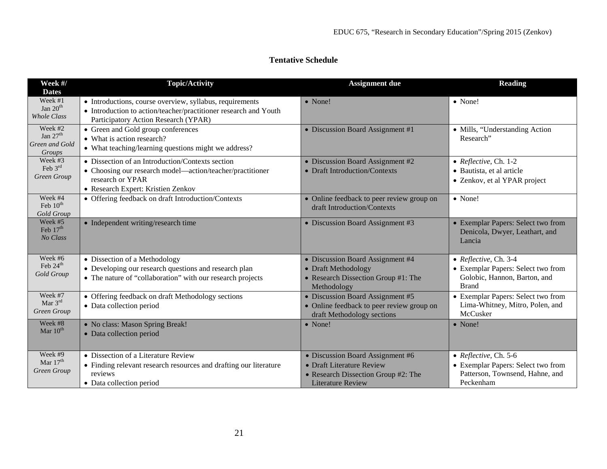# **Tentative Schedule**

| Week #/<br><b>Dates</b>                           | <b>Topic/Activity</b>                                                                                                                                                   | <b>Assignment due</b>                                                                                                            | <b>Reading</b>                                                                                              |
|---------------------------------------------------|-------------------------------------------------------------------------------------------------------------------------------------------------------------------------|----------------------------------------------------------------------------------------------------------------------------------|-------------------------------------------------------------------------------------------------------------|
| Week #1<br>Jan $20th$<br>Whole Class              | • Introductions, course overview, syllabus, requirements<br>• Introduction to action/teacher/practitioner research and Youth<br>Participatory Action Research (YPAR)    | • None!                                                                                                                          | • None!                                                                                                     |
| Week #2<br>Jan $27th$<br>Green and Gold<br>Groups | • Green and Gold group conferences<br>• What is action research?<br>• What teaching/learning questions might we address?                                                | • Discussion Board Assignment #1                                                                                                 | • Mills, "Understanding Action<br>Research"                                                                 |
| Week #3<br>Feb $3rd$<br>Green Group               | • Dissection of an Introduction/Contexts section<br>• Choosing our research model—action/teacher/practitioner<br>research or YPAR<br>• Research Expert: Kristien Zenkov | • Discussion Board Assignment #2<br>• Draft Introduction/Contexts                                                                | • Reflective, Ch. 1-2<br>· Bautista, et al article<br>• Zenkov, et al YPAR project                          |
| Week #4<br>Feb $10^{th}$<br>Gold Group            | • Offering feedback on draft Introduction/Contexts                                                                                                                      | • Online feedback to peer review group on<br>draft Introduction/Contexts                                                         | • None!                                                                                                     |
| Week #5<br>Feb $17th$<br>No Class                 | • Independent writing/research time                                                                                                                                     | • Discussion Board Assignment #3                                                                                                 | • Exemplar Papers: Select two from<br>Denicola, Dwyer, Leathart, and<br>Lancia                              |
| Week #6<br>Feb 24 <sup>th</sup><br>Gold Group     | • Dissection of a Methodology<br>• Developing our research questions and research plan<br>• The nature of "collaboration" with our research projects                    | • Discussion Board Assignment #4<br>• Draft Methodology<br>• Research Dissection Group #1: The<br>Methodology                    | • Reflective, Ch. 3-4<br>• Exemplar Papers: Select two from<br>Golobic, Hannon, Barton, and<br><b>Brand</b> |
| Week #7<br>Mar $3^{rd}$<br>Green Group            | • Offering feedback on draft Methodology sections<br>• Data collection period                                                                                           | • Discussion Board Assignment #5<br>• Online feedback to peer review group on<br>draft Methodology sections                      | • Exemplar Papers: Select two from<br>Lima-Whitney, Mitro, Polen, and<br>McCusker                           |
| Week #8<br>Mar 10 <sup>th</sup>                   | • No class: Mason Spring Break!<br>• Data collection period                                                                                                             | $\bullet$ None!                                                                                                                  | • None!                                                                                                     |
| Week #9<br>Mar $17th$<br>Green Group              | • Dissection of a Literature Review<br>• Finding relevant research resources and drafting our literature<br>reviews<br>• Data collection period                         | • Discussion Board Assignment #6<br>• Draft Literature Review<br>• Research Dissection Group #2: The<br><b>Literature Review</b> | • Reflective, Ch. 5-6<br>• Exemplar Papers: Select two from<br>Patterson, Townsend, Hahne, and<br>Peckenham |